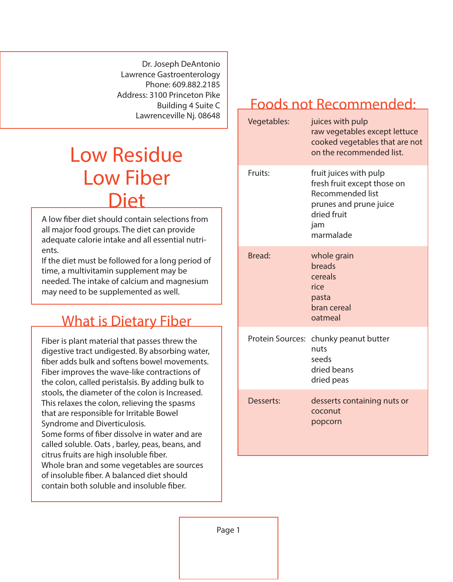Dr. Joseph DeAntonio Lawrence Gastroenterology Phone: 609.882.2185 Address: 3100 Princeton Pike Building 4 Suite C Lawrenceville Nj. 08648

## Low Residue Low Fiber Diet

A low fiber diet should contain selections from all major food groups. The diet can provide adequate calorie intake and all essential nutrients.

If the diet must be followed for a long period of time, a multivitamin supplement may be needed. The intake of calcium and magnesium may need to be supplemented as well.

## What is Dietary Fiber

Fiber is plant material that passes threw the digestive tract undigested. By absorbing water, ber adds bulk and softens bowel movements. Fiber improves the wave-like contractions of the colon, called peristalsis. By adding bulk to stools, the diameter of the colon is Increased. This relaxes the colon, relieving the spasms that are responsible for Irritable Bowel Syndrome and Diverticulosis. Some forms of fiber dissolve in water and are called soluble. Oats , barley, peas, beans, and citrus fruits are high insoluble fiber. Whole bran and some vegetables are sources of insoluble fiber. A balanced diet should contain both soluble and insoluble fiber.

## Foods not Recommended:

| Vegetables:             | juices with pulp<br>raw vegetables except lettuce<br>cooked vegetables that are not<br>on the recommended list.                               |
|-------------------------|-----------------------------------------------------------------------------------------------------------------------------------------------|
| Fruits:                 | fruit juices with pulp<br>fresh fruit except those on<br><b>Recommended list</b><br>prunes and prune juice<br>dried fruit<br>jam<br>marmalade |
| Bread:                  | whole grain<br>breads<br>cereals<br>rice<br>pasta<br>bran cereal<br>oatmeal                                                                   |
| <b>Protein Sources:</b> | chunky peanut butter<br>nuts<br>seeds<br>dried beans<br>dried peas                                                                            |
| Desserts:               | desserts containing nuts or<br>coconut<br>popcorn                                                                                             |

Page 1